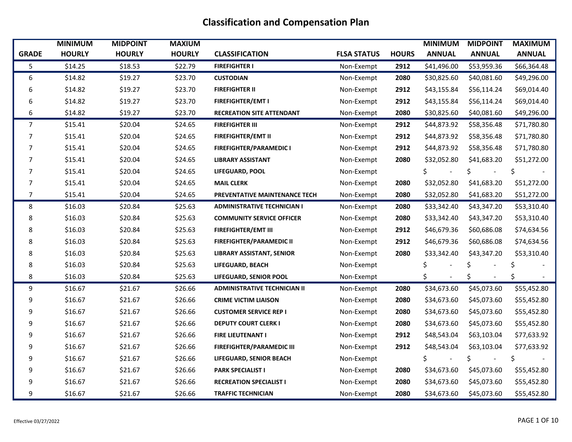|              | <b>MINIMUM</b> | <b>MIDPOINT</b> | <b>MAXIUM</b> |                                     |                    |              | <b>MINIMUM</b>        | <b>MIDPOINT</b>      | <b>MAXIMUM</b> |
|--------------|----------------|-----------------|---------------|-------------------------------------|--------------------|--------------|-----------------------|----------------------|----------------|
| <b>GRADE</b> | <b>HOURLY</b>  | <b>HOURLY</b>   | <b>HOURLY</b> | <b>CLASSIFICATION</b>               | <b>FLSA STATUS</b> | <b>HOURS</b> | <b>ANNUAL</b>         | <b>ANNUAL</b>        | <b>ANNUAL</b>  |
| 5            | \$14.25        | \$18.53         | \$22.79       | <b>FIREFIGHTER I</b>                | Non-Exempt         | 2912         | \$41,496.00           | \$53,959.36          | \$66,364.48    |
| 6            | \$14.82        | \$19.27         | \$23.70       | <b>CUSTODIAN</b>                    | Non-Exempt         | 2080         | \$30,825.60           | \$40,081.60          | \$49,296.00    |
| 6            | \$14.82        | \$19.27         | \$23.70       | <b>FIREFIGHTER II</b>               | Non-Exempt         | 2912         | \$43,155.84           | \$56,114.24          | \$69,014.40    |
| 6            | \$14.82        | \$19.27         | \$23.70       | <b>FIREFIGHTER/EMT I</b>            | Non-Exempt         | 2912         | \$43,155.84           | \$56,114.24          | \$69,014.40    |
| 6            | \$14.82        | \$19.27         | \$23.70       | <b>RECREATION SITE ATTENDANT</b>    | Non-Exempt         | 2080         | \$30,825.60           | \$40,081.60          | \$49,296.00    |
| 7            | \$15.41        | \$20.04         | \$24.65       | <b>FIREFIGHTER III</b>              | Non-Exempt         | 2912         | \$44,873.92           | \$58,356.48          | \$71,780.80    |
| 7            | \$15.41        | \$20.04         | \$24.65       | <b>FIREFIGHTER/EMT II</b>           | Non-Exempt         | 2912         | \$44,873.92           | \$58,356.48          | \$71,780.80    |
| 7            | \$15.41        | \$20.04         | \$24.65       | <b>FIREFIGHTER/PARAMEDIC I</b>      | Non-Exempt         | 2912         | \$44,873.92           | \$58,356.48          | \$71,780.80    |
| 7            | \$15.41        | \$20.04         | \$24.65       | <b>LIBRARY ASSISTANT</b>            | Non-Exempt         | 2080         | \$32,052.80           | \$41,683.20          | \$51,272.00    |
| 7            | \$15.41        | \$20.04         | \$24.65       | LIFEGUARD, POOL                     | Non-Exempt         |              | Ś.                    | \$                   | \$             |
| 7            | \$15.41        | \$20.04         | \$24.65       | <b>MAIL CLERK</b>                   | Non-Exempt         | 2080         | \$32,052.80           | \$41,683.20          | \$51,272.00    |
| 7            | \$15.41        | \$20.04         | \$24.65       | PREVENTATIVE MAINTENANCE TECH       | Non-Exempt         | 2080         | \$32,052.80           | \$41,683.20          | \$51,272.00    |
| 8            | \$16.03        | \$20.84         | \$25.63       | <b>ADMINISTRATIVE TECHNICIAN I</b>  | Non-Exempt         | 2080         | \$33,342.40           | \$43,347.20          | \$53,310.40    |
| 8            | \$16.03        | \$20.84         | \$25.63       | <b>COMMUNITY SERVICE OFFICER</b>    | Non-Exempt         | 2080         | \$33,342.40           | \$43,347.20          | \$53,310.40    |
| 8            | \$16.03        | \$20.84         | \$25.63       | <b>FIREFIGHTER/EMT III</b>          | Non-Exempt         | 2912         | \$46,679.36           | \$60,686.08          | \$74,634.56    |
| 8            | \$16.03        | \$20.84         | \$25.63       | <b>FIREFIGHTER/PARAMEDIC II</b>     | Non-Exempt         | 2912         | \$46,679.36           | \$60,686.08          | \$74,634.56    |
| 8            | \$16.03        | \$20.84         | \$25.63       | <b>LIBRARY ASSISTANT, SENIOR</b>    | Non-Exempt         | 2080         | \$33,342.40           | \$43,347.20          | \$53,310.40    |
| 8            | \$16.03        | \$20.84         | \$25.63       | LIFEGUARD, BEACH                    | Non-Exempt         |              | \$.                   | \$                   | Ś              |
| 8            | \$16.03        | \$20.84         | \$25.63       | LIFEGUARD, SENIOR POOL              | Non-Exempt         |              | \$.<br>$\blacksquare$ | \$<br>$\blacksquare$ | Ś              |
| 9            | \$16.67        | \$21.67         | \$26.66       | <b>ADMINISTRATIVE TECHNICIAN II</b> | Non-Exempt         | 2080         | \$34,673.60           | \$45,073.60          | \$55,452.80    |
| 9            | \$16.67        | \$21.67         | \$26.66       | <b>CRIME VICTIM LIAISON</b>         | Non-Exempt         | 2080         | \$34,673.60           | \$45,073.60          | \$55,452.80    |
| 9            | \$16.67        | \$21.67         | \$26.66       | <b>CUSTOMER SERVICE REP I</b>       | Non-Exempt         | 2080         | \$34,673.60           | \$45,073.60          | \$55,452.80    |
| 9            | \$16.67        | \$21.67         | \$26.66       | <b>DEPUTY COURT CLERK I</b>         | Non-Exempt         | 2080         | \$34,673.60           | \$45,073.60          | \$55,452.80    |
| 9            | \$16.67        | \$21.67         | \$26.66       | <b>FIRE LIEUTENANT I</b>            | Non-Exempt         | 2912         | \$48,543.04           | \$63,103.04          | \$77,633.92    |
| 9            | \$16.67        | \$21.67         | \$26.66       | <b>FIREFIGHTER/PARAMEDIC III</b>    | Non-Exempt         | 2912         | \$48,543.04           | \$63,103.04          | \$77,633.92    |
| 9            | \$16.67        | \$21.67         | \$26.66       | LIFEGUARD, SENIOR BEACH             | Non-Exempt         |              |                       |                      | Ś              |
| 9            | \$16.67        | \$21.67         | \$26.66       | <b>PARK SPECIALIST I</b>            | Non-Exempt         | 2080         | \$34,673.60           | \$45,073.60          | \$55,452.80    |
| 9            | \$16.67        | \$21.67         | \$26.66       | <b>RECREATION SPECIALIST I</b>      | Non-Exempt         | 2080         | \$34,673.60           | \$45,073.60          | \$55,452.80    |
| 9            | \$16.67        | \$21.67         | \$26.66       | <b>TRAFFIC TECHNICIAN</b>           | Non-Exempt         | 2080         | \$34,673.60           | \$45,073.60          | \$55,452.80    |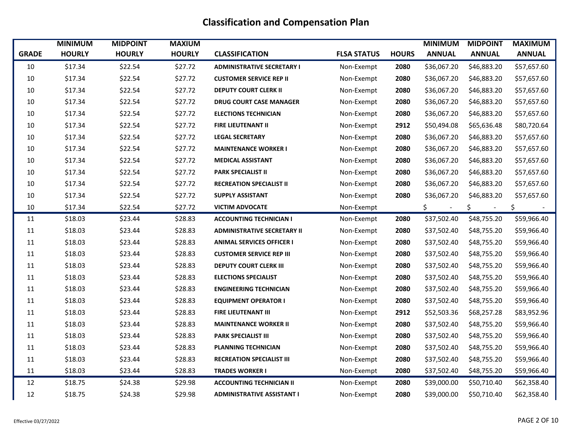|              | <b>MINIMUM</b> | <b>MIDPOINT</b> | <b>MAXIUM</b> |                                    |                    |              | <b>MINIMUM</b>        | <b>MIDPOINT</b>      | <b>MAXIMUM</b> |
|--------------|----------------|-----------------|---------------|------------------------------------|--------------------|--------------|-----------------------|----------------------|----------------|
| <b>GRADE</b> | <b>HOURLY</b>  | <b>HOURLY</b>   | <b>HOURLY</b> | <b>CLASSIFICATION</b>              | <b>FLSA STATUS</b> | <b>HOURS</b> | <b>ANNUAL</b>         | <b>ANNUAL</b>        | <b>ANNUAL</b>  |
| 10           | \$17.34        | \$22.54         | \$27.72       | <b>ADMINISTRATIVE SECRETARY I</b>  | Non-Exempt         | 2080         | \$36,067.20           | \$46,883.20          | \$57,657.60    |
| 10           | \$17.34        | \$22.54         | \$27.72       | <b>CUSTOMER SERVICE REP II</b>     | Non-Exempt         | 2080         | \$36,067.20           | \$46,883.20          | \$57,657.60    |
| 10           | \$17.34        | \$22.54         | \$27.72       | <b>DEPUTY COURT CLERK II</b>       | Non-Exempt         | 2080         | \$36,067.20           | \$46,883.20          | \$57,657.60    |
| 10           | \$17.34        | \$22.54         | \$27.72       | <b>DRUG COURT CASE MANAGER</b>     | Non-Exempt         | 2080         | \$36,067.20           | \$46,883.20          | \$57,657.60    |
| 10           | \$17.34        | \$22.54         | \$27.72       | <b>ELECTIONS TECHNICIAN</b>        | Non-Exempt         | 2080         | \$36,067.20           | \$46,883.20          | \$57,657.60    |
| 10           | \$17.34        | \$22.54         | \$27.72       | <b>FIRE LIEUTENANT II</b>          | Non-Exempt         | 2912         | \$50,494.08           | \$65,636.48          | \$80,720.64    |
| 10           | \$17.34        | \$22.54         | \$27.72       | <b>LEGAL SECRETARY</b>             | Non-Exempt         | 2080         | \$36,067.20           | \$46,883.20          | \$57,657.60    |
| 10           | \$17.34        | \$22.54         | \$27.72       | <b>MAINTENANCE WORKER I</b>        | Non-Exempt         | 2080         | \$36,067.20           | \$46,883.20          | \$57,657.60    |
| 10           | \$17.34        | \$22.54         | \$27.72       | <b>MEDICAL ASSISTANT</b>           | Non-Exempt         | 2080         | \$36,067.20           | \$46,883.20          | \$57,657.60    |
| 10           | \$17.34        | \$22.54         | \$27.72       | <b>PARK SPECIALIST II</b>          | Non-Exempt         | 2080         | \$36,067.20           | \$46,883.20          | \$57,657.60    |
| 10           | \$17.34        | \$22.54         | \$27.72       | <b>RECREATION SPECIALIST II</b>    | Non-Exempt         | 2080         | \$36,067.20           | \$46,883.20          | \$57,657.60    |
| 10           | \$17.34        | \$22.54         | \$27.72       | <b>SUPPLY ASSISTANT</b>            | Non-Exempt         | 2080         | \$36,067.20           | \$46,883.20          | \$57,657.60    |
| 10           | \$17.34        | \$22.54         | \$27.72       | <b>VICTIM ADVOCATE</b>             | Non-Exempt         |              | \$.<br>$\blacksquare$ | \$<br>$\blacksquare$ | \$             |
| 11           | \$18.03        | \$23.44         | \$28.83       | <b>ACCOUNTING TECHNICIAN I</b>     | Non-Exempt         | 2080         | \$37,502.40           | \$48,755.20          | \$59,966.40    |
| 11           | \$18.03        | \$23.44         | \$28.83       | <b>ADMINISTRATIVE SECRETARY II</b> | Non-Exempt         | 2080         | \$37,502.40           | \$48,755.20          | \$59,966.40    |
| 11           | \$18.03        | \$23.44         | \$28.83       | <b>ANIMAL SERVICES OFFICER I</b>   | Non-Exempt         | 2080         | \$37,502.40           | \$48,755.20          | \$59,966.40    |
| 11           | \$18.03        | \$23.44         | \$28.83       | <b>CUSTOMER SERVICE REP III</b>    | Non-Exempt         | 2080         | \$37,502.40           | \$48,755.20          | \$59,966.40    |
| 11           | \$18.03        | \$23.44         | \$28.83       | <b>DEPUTY COURT CLERK III</b>      | Non-Exempt         | 2080         | \$37,502.40           | \$48,755.20          | \$59,966.40    |
| 11           | \$18.03        | \$23.44         | \$28.83       | <b>ELECTIONS SPECIALIST</b>        | Non-Exempt         | 2080         | \$37,502.40           | \$48,755.20          | \$59,966.40    |
| 11           | \$18.03        | \$23.44         | \$28.83       | <b>ENGINEERING TECHNICIAN</b>      | Non-Exempt         | 2080         | \$37,502.40           | \$48,755.20          | \$59,966.40    |
| 11           | \$18.03        | \$23.44         | \$28.83       | <b>EQUIPMENT OPERATOR I</b>        | Non-Exempt         | 2080         | \$37,502.40           | \$48,755.20          | \$59,966.40    |
| 11           | \$18.03        | \$23.44         | \$28.83       | <b>FIRE LIEUTENANT III</b>         | Non-Exempt         | 2912         | \$52,503.36           | \$68,257.28          | \$83,952.96    |
| 11           | \$18.03        | \$23.44         | \$28.83       | <b>MAINTENANCE WORKER II</b>       | Non-Exempt         | 2080         | \$37,502.40           | \$48,755.20          | \$59,966.40    |
| 11           | \$18.03        | \$23.44         | \$28.83       | <b>PARK SPECIALIST III</b>         | Non-Exempt         | 2080         | \$37,502.40           | \$48,755.20          | \$59,966.40    |
| 11           | \$18.03        | \$23.44         | \$28.83       | <b>PLANNING TECHNICIAN</b>         | Non-Exempt         | 2080         | \$37,502.40           | \$48,755.20          | \$59,966.40    |
| 11           | \$18.03        | \$23.44         | \$28.83       | <b>RECREATION SPECIALIST III</b>   | Non-Exempt         | 2080         | \$37,502.40           | \$48,755.20          | \$59,966.40    |
| 11           | \$18.03        | \$23.44         | \$28.83       | <b>TRADES WORKER I</b>             | Non-Exempt         | 2080         | \$37,502.40           | \$48,755.20          | \$59,966.40    |
| 12           | \$18.75        | \$24.38         | \$29.98       | <b>ACCOUNTING TECHNICIAN II</b>    | Non-Exempt         | 2080         | \$39,000.00           | \$50,710.40          | \$62,358.40    |
| 12           | \$18.75        | \$24.38         | \$29.98       | <b>ADMINISTRATIVE ASSISTANT I</b>  | Non-Exempt         | 2080         | \$39,000.00           | \$50,710.40          | \$62,358.40    |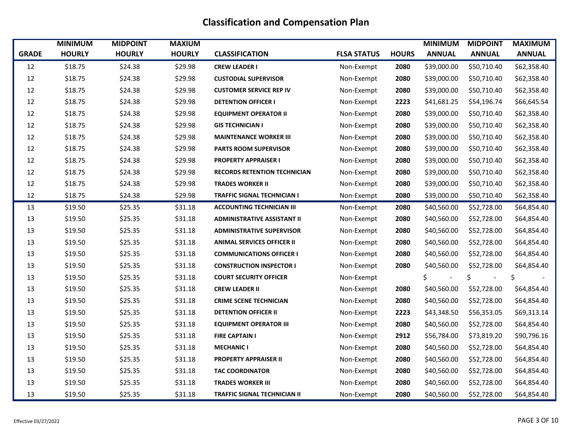|              | <b>MINIMUM</b> | <b>MIDPOINT</b> | <b>MAXIUM</b> |                                     |                    |              | <b>MINIMUM</b> | <b>MIDPOINT</b> | <b>MAXIMUM</b> |
|--------------|----------------|-----------------|---------------|-------------------------------------|--------------------|--------------|----------------|-----------------|----------------|
| <b>GRADE</b> | <b>HOURLY</b>  | <b>HOURLY</b>   | <b>HOURLY</b> | <b>CLASSIFICATION</b>               | <b>FLSA STATUS</b> | <b>HOURS</b> | <b>ANNUAL</b>  | <b>ANNUAL</b>   | <b>ANNUAL</b>  |
| 12           | \$18.75        | \$24.38         | \$29.98       | <b>CREW LEADER I</b>                | Non-Exempt         | 2080         | \$39,000.00    | \$50,710.40     | \$62,358.40    |
| 12           | \$18.75        | \$24.38         | \$29.98       | <b>CUSTODIAL SUPERVISOR</b>         | Non-Exempt         | 2080         | \$39,000.00    | \$50,710.40     | \$62,358.40    |
| 12           | \$18.75        | \$24.38         | \$29.98       | <b>CUSTOMER SERVICE REP IV</b>      | Non-Exempt         | 2080         | \$39,000.00    | \$50,710.40     | \$62,358.40    |
| 12           | \$18.75        | \$24.38         | \$29.98       | <b>DETENTION OFFICER I</b>          | Non-Exempt         | 2223         | \$41,681.25    | \$54,196.74     | \$66,645.54    |
| 12           | \$18.75        | \$24.38         | \$29.98       | <b>EQUIPMENT OPERATOR II</b>        | Non-Exempt         | 2080         | \$39,000.00    | \$50,710.40     | \$62,358.40    |
| 12           | \$18.75        | \$24.38         | \$29.98       | <b>GIS TECHNICIAN I</b>             | Non-Exempt         | 2080         | \$39,000.00    | \$50,710.40     | \$62,358.40    |
| 12           | \$18.75        | \$24.38         | \$29.98       | <b>MAINTENANCE WORKER III</b>       | Non-Exempt         | 2080         | \$39,000.00    | \$50,710.40     | \$62,358.40    |
| 12           | \$18.75        | \$24.38         | \$29.98       | <b>PARTS ROOM SUPERVISOR</b>        | Non-Exempt         | 2080         | \$39,000.00    | \$50,710.40     | \$62,358.40    |
| 12           | \$18.75        | \$24.38         | \$29.98       | <b>PROPERTY APPRAISER I</b>         | Non-Exempt         | 2080         | \$39,000.00    | \$50,710.40     | \$62,358.40    |
| 12           | \$18.75        | \$24.38         | \$29.98       | <b>RECORDS RETENTION TECHNICIAN</b> | Non-Exempt         | 2080         | \$39,000.00    | \$50,710.40     | \$62,358.40    |
| 12           | \$18.75        | \$24.38         | \$29.98       | <b>TRADES WORKER II</b>             | Non-Exempt         | 2080         | \$39,000.00    | \$50,710.40     | \$62,358.40    |
| 12           | \$18.75        | \$24.38         | \$29.98       | TRAFFIC SIGNAL TECHNICIAN I         | Non-Exempt         | 2080         | \$39,000.00    | \$50,710.40     | \$62,358.40    |
| 13           | \$19.50        | \$25.35         | \$31.18       | <b>ACCOUNTING TECHNICIAN III</b>    | Non-Exempt         | 2080         | \$40,560.00    | \$52,728.00     | \$64,854.40    |
| 13           | \$19.50        | \$25.35         | \$31.18       | <b>ADMINISTRATIVE ASSISTANT II</b>  | Non-Exempt         | 2080         | \$40,560.00    | \$52,728.00     | \$64,854.40    |
| 13           | \$19.50        | \$25.35         | \$31.18       | <b>ADMINISTRATIVE SUPERVISOR</b>    | Non-Exempt         | 2080         | \$40,560.00    | \$52,728.00     | \$64,854.40    |
| 13           | \$19.50        | \$25.35         | \$31.18       | <b>ANIMAL SERVICES OFFICER II</b>   | Non-Exempt         | 2080         | \$40,560.00    | \$52,728.00     | \$64,854.40    |
| 13           | \$19.50        | \$25.35         | \$31.18       | <b>COMMUNICATIONS OFFICER I</b>     | Non-Exempt         | 2080         | \$40,560.00    | \$52,728.00     | \$64,854.40    |
| 13           | \$19.50        | \$25.35         | \$31.18       | <b>CONSTRUCTION INSPECTOR I</b>     | Non-Exempt         | 2080         | \$40,560.00    | \$52,728.00     | \$64,854.40    |
| 13           | \$19.50        | \$25.35         | \$31.18       | <b>COURT SECURITY OFFICER</b>       | Non-Exempt         |              | \$.            | \$.             | \$             |
| 13           | \$19.50        | \$25.35         | \$31.18       | <b>CREW LEADER II</b>               | Non-Exempt         | 2080         | \$40,560.00    | \$52,728.00     | \$64,854.40    |
| 13           | \$19.50        | \$25.35         | \$31.18       | <b>CRIME SCENE TECHNICIAN</b>       | Non-Exempt         | 2080         | \$40,560.00    | \$52,728.00     | \$64,854.40    |
| 13           | \$19.50        | \$25.35         | \$31.18       | <b>DETENTION OFFICER II</b>         | Non-Exempt         | 2223         | \$43,348.50    | \$56,353.05     | \$69,313.14    |
| 13           | \$19.50        | \$25.35         | \$31.18       | <b>EQUIPMENT OPERATOR III</b>       | Non-Exempt         | 2080         | \$40,560.00    | \$52,728.00     | \$64,854.40    |
| 13           | \$19.50        | \$25.35         | \$31.18       | <b>FIRE CAPTAIN I</b>               | Non-Exempt         | 2912         | \$56,784.00    | \$73,819.20     | \$90,796.16    |
| 13           | \$19.50        | \$25.35         | \$31.18       | <b>MECHANIC I</b>                   | Non-Exempt         | 2080         | \$40,560.00    | \$52,728.00     | \$64,854.40    |
| 13           | \$19.50        | \$25.35         | \$31.18       | <b>PROPERTY APPRAISER II</b>        | Non-Exempt         | 2080         | \$40,560.00    | \$52,728.00     | \$64,854.40    |
| 13           | \$19.50        | \$25.35         | \$31.18       | <b>TAC COORDINATOR</b>              | Non-Exempt         | 2080         | \$40,560.00    | \$52,728.00     | \$64,854.40    |
| 13           | \$19.50        | \$25.35         | \$31.18       | <b>TRADES WORKER III</b>            | Non-Exempt         | 2080         | \$40,560.00    | \$52,728.00     | \$64,854.40    |
| 13           | \$19.50        | \$25.35         | \$31.18       | <b>TRAFFIC SIGNAL TECHNICIAN II</b> | Non-Exempt         | 2080         | \$40,560.00    | \$52,728.00     | \$64,854.40    |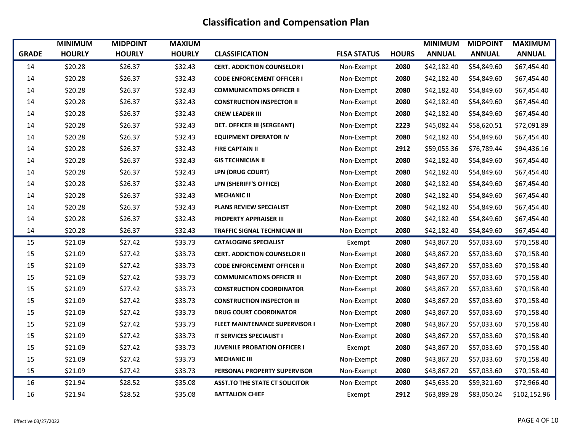|              | <b>MINIMUM</b> | <b>MIDPOINT</b> | <b>MAXIUM</b> |                                       |                    |              | <b>MINIMUM</b> | <b>MIDPOINT</b> | <b>MAXIMUM</b> |
|--------------|----------------|-----------------|---------------|---------------------------------------|--------------------|--------------|----------------|-----------------|----------------|
| <b>GRADE</b> | <b>HOURLY</b>  | <b>HOURLY</b>   | <b>HOURLY</b> | <b>CLASSIFICATION</b>                 | <b>FLSA STATUS</b> | <b>HOURS</b> | <b>ANNUAL</b>  | <b>ANNUAL</b>   | <b>ANNUAL</b>  |
| 14           | \$20.28        | \$26.37         | \$32.43       | <b>CERT. ADDICTION COUNSELOR I</b>    | Non-Exempt         | 2080         | \$42,182.40    | \$54,849.60     | \$67,454.40    |
| 14           | \$20.28        | \$26.37         | \$32.43       | <b>CODE ENFORCEMENT OFFICER I</b>     | Non-Exempt         | 2080         | \$42,182.40    | \$54,849.60     | \$67,454.40    |
| 14           | \$20.28        | \$26.37         | \$32.43       | <b>COMMUNICATIONS OFFICER II</b>      | Non-Exempt         | 2080         | \$42,182.40    | \$54,849.60     | \$67,454.40    |
| 14           | \$20.28        | \$26.37         | \$32.43       | <b>CONSTRUCTION INSPECTOR II</b>      | Non-Exempt         | 2080         | \$42,182.40    | \$54,849.60     | \$67,454.40    |
| $14\,$       | \$20.28        | \$26.37         | \$32.43       | <b>CREW LEADER III</b>                | Non-Exempt         | 2080         | \$42,182.40    | \$54,849.60     | \$67,454.40    |
| 14           | \$20.28        | \$26.37         | \$32.43       | <b>DET. OFFICER III (SERGEANT)</b>    | Non-Exempt         | 2223         | \$45,082.44    | \$58,620.51     | \$72,091.89    |
| 14           | \$20.28        | \$26.37         | \$32.43       | <b>EQUIPMENT OPERATOR IV</b>          | Non-Exempt         | 2080         | \$42,182.40    | \$54,849.60     | \$67,454.40    |
| $14\,$       | \$20.28        | \$26.37         | \$32.43       | <b>FIRE CAPTAIN II</b>                | Non-Exempt         | 2912         | \$59,055.36    | \$76,789.44     | \$94,436.16    |
| 14           | \$20.28        | \$26.37         | \$32.43       | <b>GIS TECHNICIAN II</b>              | Non-Exempt         | 2080         | \$42,182.40    | \$54,849.60     | \$67,454.40    |
| 14           | \$20.28        | \$26.37         | \$32.43       | LPN (DRUG COURT)                      | Non-Exempt         | 2080         | \$42,182.40    | \$54,849.60     | \$67,454.40    |
| 14           | \$20.28        | \$26.37         | \$32.43       | LPN (SHERIFF'S OFFICE)                | Non-Exempt         | 2080         | \$42,182.40    | \$54,849.60     | \$67,454.40    |
| 14           | \$20.28        | \$26.37         | \$32.43       | <b>MECHANIC II</b>                    | Non-Exempt         | 2080         | \$42,182.40    | \$54,849.60     | \$67,454.40    |
| 14           | \$20.28        | \$26.37         | \$32.43       | <b>PLANS REVIEW SPECIALIST</b>        | Non-Exempt         | 2080         | \$42,182.40    | \$54,849.60     | \$67,454.40    |
| 14           | \$20.28        | \$26.37         | \$32.43       | <b>PROPERTY APPRAISER III</b>         | Non-Exempt         | 2080         | \$42,182.40    | \$54,849.60     | \$67,454.40    |
| 14           | \$20.28        | \$26.37         | \$32.43       | <b>TRAFFIC SIGNAL TECHNICIAN III</b>  | Non-Exempt         | 2080         | \$42,182.40    | \$54,849.60     | \$67,454.40    |
| 15           | \$21.09        | \$27.42         | \$33.73       | <b>CATALOGING SPECIALIST</b>          | Exempt             | 2080         | \$43,867.20    | \$57,033.60     | \$70,158.40    |
| 15           | \$21.09        | \$27.42         | \$33.73       | <b>CERT. ADDICTION COUNSELOR II</b>   | Non-Exempt         | 2080         | \$43,867.20    | \$57,033.60     | \$70,158.40    |
| 15           | \$21.09        | \$27.42         | \$33.73       | <b>CODE ENFORCEMENT OFFICER II</b>    | Non-Exempt         | 2080         | \$43,867.20    | \$57,033.60     | \$70,158.40    |
| 15           | \$21.09        | \$27.42         | \$33.73       | <b>COMMUNICATIONS OFFICER III</b>     | Non-Exempt         | 2080         | \$43,867.20    | \$57,033.60     | \$70,158.40    |
| 15           | \$21.09        | \$27.42         | \$33.73       | <b>CONSTRUCTION COORDINATOR</b>       | Non-Exempt         | 2080         | \$43,867.20    | \$57,033.60     | \$70,158.40    |
| 15           | \$21.09        | \$27.42         | \$33.73       | <b>CONSTRUCTION INSPECTOR III</b>     | Non-Exempt         | 2080         | \$43,867.20    | \$57,033.60     | \$70,158.40    |
| 15           | \$21.09        | \$27.42         | \$33.73       | <b>DRUG COURT COORDINATOR</b>         | Non-Exempt         | 2080         | \$43,867.20    | \$57,033.60     | \$70,158.40    |
| 15           | \$21.09        | \$27.42         | \$33.73       | <b>FLEET MAINTENANCE SUPERVISOR I</b> | Non-Exempt         | 2080         | \$43,867.20    | \$57,033.60     | \$70,158.40    |
| 15           | \$21.09        | \$27.42         | \$33.73       | IT SERVICES SPECIALIST I              | Non-Exempt         | 2080         | \$43,867.20    | \$57,033.60     | \$70,158.40    |
| 15           | \$21.09        | \$27.42         | \$33.73       | <b>JUVENILE PROBATION OFFICER I</b>   | Exempt             | 2080         | \$43,867.20    | \$57,033.60     | \$70,158.40    |
| 15           | \$21.09        | \$27.42         | \$33.73       | <b>MECHANIC III</b>                   | Non-Exempt         | 2080         | \$43,867.20    | \$57,033.60     | \$70,158.40    |
| 15           | \$21.09        | \$27.42         | \$33.73       | PERSONAL PROPERTY SUPERVISOR          | Non-Exempt         | 2080         | \$43,867.20    | \$57,033.60     | \$70,158.40    |
| 16           | \$21.94        | \$28.52         | \$35.08       | <b>ASST.TO THE STATE CT SOLICITOR</b> | Non-Exempt         | 2080         | \$45,635.20    | \$59,321.60     | \$72,966.40    |
| 16           | \$21.94        | \$28.52         | \$35.08       | <b>BATTALION CHIEF</b>                | Exempt             | 2912         | \$63,889.28    | \$83,050.24     | \$102,152.96   |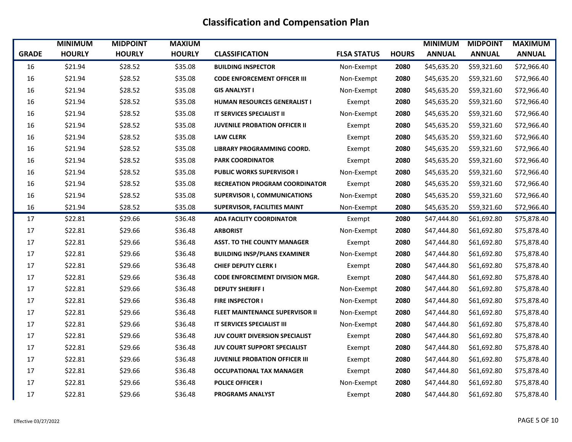|              | <b>MINIMUM</b> | <b>MIDPOINT</b> | <b>MAXIUM</b> |                                        |                    |              | <b>MINIMUM</b> | <b>MIDPOINT</b> | <b>MAXIMUM</b> |
|--------------|----------------|-----------------|---------------|----------------------------------------|--------------------|--------------|----------------|-----------------|----------------|
| <b>GRADE</b> | <b>HOURLY</b>  | <b>HOURLY</b>   | <b>HOURLY</b> | <b>CLASSIFICATION</b>                  | <b>FLSA STATUS</b> | <b>HOURS</b> | <b>ANNUAL</b>  | <b>ANNUAL</b>   | <b>ANNUAL</b>  |
| 16           | \$21.94        | \$28.52         | \$35.08       | <b>BUILDING INSPECTOR</b>              | Non-Exempt         | 2080         | \$45,635.20    | \$59,321.60     | \$72,966.40    |
| 16           | \$21.94        | \$28.52         | \$35.08       | <b>CODE ENFORCEMENT OFFICER III</b>    | Non-Exempt         | 2080         | \$45,635.20    | \$59,321.60     | \$72,966.40    |
| 16           | \$21.94        | \$28.52         | \$35.08       | <b>GIS ANALYST I</b>                   | Non-Exempt         | 2080         | \$45,635.20    | \$59,321.60     | \$72,966.40    |
| 16           | \$21.94        | \$28.52         | \$35.08       | HUMAN RESOURCES GENERALIST I           | Exempt             | 2080         | \$45,635.20    | \$59,321.60     | \$72,966.40    |
| 16           | \$21.94        | \$28.52         | \$35.08       | IT SERVICES SPECIALIST II              | Non-Exempt         | 2080         | \$45,635.20    | \$59,321.60     | \$72,966.40    |
| 16           | \$21.94        | \$28.52         | \$35.08       | <b>JUVENILE PROBATION OFFICER II</b>   | Exempt             | 2080         | \$45,635.20    | \$59,321.60     | \$72,966.40    |
| 16           | \$21.94        | \$28.52         | \$35.08       | <b>LAW CLERK</b>                       | Exempt             | 2080         | \$45,635.20    | \$59,321.60     | \$72,966.40    |
| 16           | \$21.94        | \$28.52         | \$35.08       | LIBRARY PROGRAMMING COORD.             | Exempt             | 2080         | \$45,635.20    | \$59,321.60     | \$72,966.40    |
| 16           | \$21.94        | \$28.52         | \$35.08       | <b>PARK COORDINATOR</b>                | Exempt             | 2080         | \$45,635.20    | \$59,321.60     | \$72,966.40    |
| 16           | \$21.94        | \$28.52         | \$35.08       | <b>PUBLIC WORKS SUPERVISOR I</b>       | Non-Exempt         | 2080         | \$45,635.20    | \$59,321.60     | \$72,966.40    |
| 16           | \$21.94        | \$28.52         | \$35.08       | <b>RECREATION PROGRAM COORDINATOR</b>  | Exempt             | 2080         | \$45,635.20    | \$59,321.60     | \$72,966.40    |
| 16           | \$21.94        | \$28.52         | \$35.08       | <b>SUPERVISOR I, COMMUNICATIONS</b>    | Non-Exempt         | 2080         | \$45,635.20    | \$59,321.60     | \$72,966.40    |
| 16           | \$21.94        | \$28.52         | \$35.08       | <b>SUPERVISOR, FACILITIES MAINT</b>    | Non-Exempt         | 2080         | \$45,635.20    | \$59,321.60     | \$72,966.40    |
| 17           | \$22.81        | \$29.66         | \$36.48       | <b>ADA FACILITY COORDINATOR</b>        | Exempt             | 2080         | \$47,444.80    | \$61,692.80     | \$75,878.40    |
| 17           | \$22.81        | \$29.66         | \$36.48       | <b>ARBORIST</b>                        | Non-Exempt         | 2080         | \$47,444.80    | \$61,692.80     | \$75,878.40    |
| 17           | \$22.81        | \$29.66         | \$36.48       | <b>ASST. TO THE COUNTY MANAGER</b>     | Exempt             | 2080         | \$47,444.80    | \$61,692.80     | \$75,878.40    |
| 17           | \$22.81        | \$29.66         | \$36.48       | <b>BUILDING INSP/PLANS EXAMINER</b>    | Non-Exempt         | 2080         | \$47,444.80    | \$61,692.80     | \$75,878.40    |
| 17           | \$22.81        | \$29.66         | \$36.48       | <b>CHIEF DEPUTY CLERK I</b>            | Exempt             | 2080         | \$47,444.80    | \$61,692.80     | \$75,878.40    |
| 17           | \$22.81        | \$29.66         | \$36.48       | <b>CODE ENFORCEMENT DIVISION MGR.</b>  | Exempt             | 2080         | \$47,444.80    | \$61,692.80     | \$75,878.40    |
| 17           | \$22.81        | \$29.66         | \$36.48       | <b>DEPUTY SHERIFF I</b>                | Non-Exempt         | 2080         | \$47,444.80    | \$61,692.80     | \$75,878.40    |
| 17           | \$22.81        | \$29.66         | \$36.48       | <b>FIRE INSPECTOR I</b>                | Non-Exempt         | 2080         | \$47,444.80    | \$61,692.80     | \$75,878.40    |
| 17           | \$22.81        | \$29.66         | \$36.48       | <b>FLEET MAINTENANCE SUPERVISOR II</b> | Non-Exempt         | 2080         | \$47,444.80    | \$61,692.80     | \$75,878.40    |
| 17           | \$22.81        | \$29.66         | \$36.48       | IT SERVICES SPECIALIST III             | Non-Exempt         | 2080         | \$47,444.80    | \$61,692.80     | \$75,878.40    |
| 17           | \$22.81        | \$29.66         | \$36.48       | <b>JUV COURT DIVERSION SPECIALIST</b>  | Exempt             | 2080         | \$47,444.80    | \$61,692.80     | \$75,878.40    |
| 17           | \$22.81        | \$29.66         | \$36.48       | <b>JUV COURT SUPPORT SPECIALIST</b>    | Exempt             | 2080         | \$47,444.80    | \$61,692.80     | \$75,878.40    |
| 17           | \$22.81        | \$29.66         | \$36.48       | <b>JUVENILE PROBATION OFFICER III</b>  | Exempt             | 2080         | \$47,444.80    | \$61,692.80     | \$75,878.40    |
| 17           | \$22.81        | \$29.66         | \$36.48       | <b>OCCUPATIONAL TAX MANAGER</b>        | Exempt             | 2080         | \$47,444.80    | \$61,692.80     | \$75,878.40    |
| 17           | \$22.81        | \$29.66         | \$36.48       | <b>POLICE OFFICER I</b>                | Non-Exempt         | 2080         | \$47,444.80    | \$61,692.80     | \$75,878.40    |
| 17           | \$22.81        | \$29.66         | \$36.48       | <b>PROGRAMS ANALYST</b>                | Exempt             | 2080         | \$47,444.80    | \$61,692.80     | \$75,878.40    |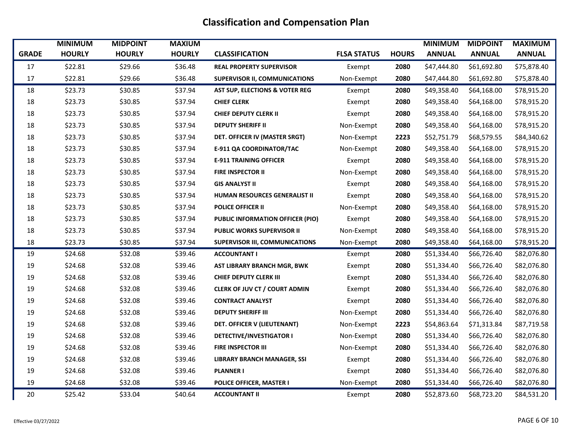|              | <b>MINIMUM</b> | <b>MIDPOINT</b> | <b>MAXIUM</b> |                                           |                    |              | <b>MINIMUM</b> | <b>MIDPOINT</b> | <b>MAXIMUM</b> |
|--------------|----------------|-----------------|---------------|-------------------------------------------|--------------------|--------------|----------------|-----------------|----------------|
| <b>GRADE</b> | <b>HOURLY</b>  | <b>HOURLY</b>   | <b>HOURLY</b> | <b>CLASSIFICATION</b>                     | <b>FLSA STATUS</b> | <b>HOURS</b> | <b>ANNUAL</b>  | <b>ANNUAL</b>   | <b>ANNUAL</b>  |
| 17           | \$22.81        | \$29.66         | \$36.48       | <b>REAL PROPERTY SUPERVISOR</b>           | Exempt             | 2080         | \$47,444.80    | \$61,692.80     | \$75,878.40    |
| 17           | \$22.81        | \$29.66         | \$36.48       | <b>SUPERVISOR II, COMMUNICATIONS</b>      | Non-Exempt         | 2080         | \$47,444.80    | \$61,692.80     | \$75,878.40    |
| 18           | \$23.73        | \$30.85         | \$37.94       | <b>AST SUP, ELECTIONS &amp; VOTER REG</b> | Exempt             | 2080         | \$49,358.40    | \$64,168.00     | \$78,915.20    |
| 18           | \$23.73        | \$30.85         | \$37.94       | <b>CHIEF CLERK</b>                        | Exempt             | 2080         | \$49,358.40    | \$64,168.00     | \$78,915.20    |
| 18           | \$23.73        | \$30.85         | \$37.94       | <b>CHIEF DEPUTY CLERK II</b>              | Exempt             | 2080         | \$49,358.40    | \$64,168.00     | \$78,915.20    |
| 18           | \$23.73        | \$30.85         | \$37.94       | <b>DEPUTY SHERIFF II</b>                  | Non-Exempt         | 2080         | \$49,358.40    | \$64,168.00     | \$78,915.20    |
| 18           | \$23.73        | \$30.85         | \$37.94       | DET. OFFICER IV (MASTER SRGT)             | Non-Exempt         | 2223         | \$52,751.79    | \$68,579.55     | \$84,340.62    |
| 18           | \$23.73        | \$30.85         | \$37.94       | <b>E-911 QA COORDINATOR/TAC</b>           | Non-Exempt         | 2080         | \$49,358.40    | \$64,168.00     | \$78,915.20    |
| 18           | \$23.73        | \$30.85         | \$37.94       | <b>E-911 TRAINING OFFICER</b>             | Exempt             | 2080         | \$49,358.40    | \$64,168.00     | \$78,915.20    |
| 18           | \$23.73        | \$30.85         | \$37.94       | <b>FIRE INSPECTOR II</b>                  | Non-Exempt         | 2080         | \$49,358.40    | \$64,168.00     | \$78,915.20    |
| 18           | \$23.73        | \$30.85         | \$37.94       | <b>GIS ANALYST II</b>                     | Exempt             | 2080         | \$49,358.40    | \$64,168.00     | \$78,915.20    |
| 18           | \$23.73        | \$30.85         | \$37.94       | HUMAN RESOURCES GENERALIST II             | Exempt             | 2080         | \$49,358.40    | \$64,168.00     | \$78,915.20    |
| 18           | \$23.73        | \$30.85         | \$37.94       | <b>POLICE OFFICER II</b>                  | Non-Exempt         | 2080         | \$49,358.40    | \$64,168.00     | \$78,915.20    |
| 18           | \$23.73        | \$30.85         | \$37.94       | PUBLIC INFORMATION OFFICER (PIO)          | Exempt             | 2080         | \$49,358.40    | \$64,168.00     | \$78,915.20    |
| 18           | \$23.73        | \$30.85         | \$37.94       | <b>PUBLIC WORKS SUPERVISOR II</b>         | Non-Exempt         | 2080         | \$49,358.40    | \$64,168.00     | \$78,915.20    |
| 18           | \$23.73        | \$30.85         | \$37.94       | <b>SUPERVISOR III, COMMUNICATIONS</b>     | Non-Exempt         | 2080         | \$49,358.40    | \$64,168.00     | \$78,915.20    |
| 19           | \$24.68        | \$32.08         | \$39.46       | <b>ACCOUNTANT I</b>                       | Exempt             | 2080         | \$51,334.40    | \$66,726.40     | \$82,076.80    |
| 19           | \$24.68        | \$32.08         | \$39.46       | AST LIBRARY BRANCH MGR, BWK               | Exempt             | 2080         | \$51,334.40    | \$66,726.40     | \$82,076.80    |
| 19           | \$24.68        | \$32.08         | \$39.46       | <b>CHIEF DEPUTY CLERK III</b>             | Exempt             | 2080         | \$51,334.40    | \$66,726.40     | \$82,076.80    |
| 19           | \$24.68        | \$32.08         | \$39.46       | <b>CLERK OF JUV CT / COURT ADMIN</b>      | Exempt             | 2080         | \$51,334.40    | \$66,726.40     | \$82,076.80    |
| 19           | \$24.68        | \$32.08         | \$39.46       | <b>CONTRACT ANALYST</b>                   | Exempt             | 2080         | \$51,334.40    | \$66,726.40     | \$82,076.80    |
| 19           | \$24.68        | \$32.08         | \$39.46       | <b>DEPUTY SHERIFF III</b>                 | Non-Exempt         | 2080         | \$51,334.40    | \$66,726.40     | \$82,076.80    |
| 19           | \$24.68        | \$32.08         | \$39.46       | DET. OFFICER V (LIEUTENANT)               | Non-Exempt         | 2223         | \$54,863.64    | \$71,313.84     | \$87,719.58    |
| 19           | \$24.68        | \$32.08         | \$39.46       | <b>DETECTIVE/INVESTIGATOR I</b>           | Non-Exempt         | 2080         | \$51,334.40    | \$66,726.40     | \$82,076.80    |
| 19           | \$24.68        | \$32.08         | \$39.46       | <b>FIRE INSPECTOR III</b>                 | Non-Exempt         | 2080         | \$51,334.40    | \$66,726.40     | \$82,076.80    |
| 19           | \$24.68        | \$32.08         | \$39.46       | <b>LIBRARY BRANCH MANAGER, SSI</b>        | Exempt             | 2080         | \$51,334.40    | \$66,726.40     | \$82,076.80    |
| 19           | \$24.68        | \$32.08         | \$39.46       | <b>PLANNER I</b>                          | Exempt             | 2080         | \$51,334.40    | \$66,726.40     | \$82,076.80    |
| 19           | \$24.68        | \$32.08         | \$39.46       | POLICE OFFICER, MASTER I                  | Non-Exempt         | 2080         | \$51,334.40    | \$66,726.40     | \$82,076.80    |
| 20           | \$25.42        | \$33.04         | \$40.64       | <b>ACCOUNTANT II</b>                      | Exempt             | 2080         | \$52,873.60    | \$68,723.20     | \$84,531.20    |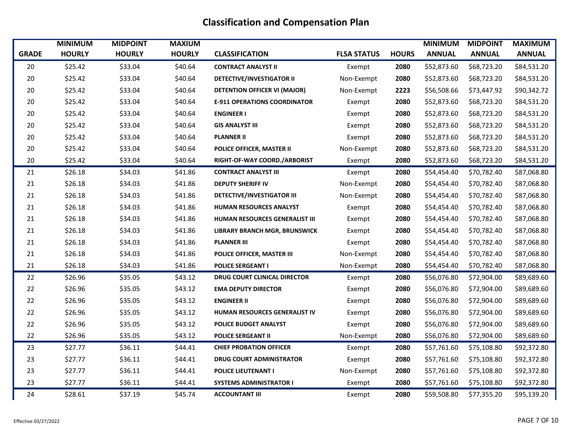|              | <b>MINIMUM</b> | <b>MIDPOINT</b> | <b>MAXIUM</b> |                                     |                    |              | <b>MINIMUM</b> | <b>MIDPOINT</b> | <b>MAXIMUM</b> |
|--------------|----------------|-----------------|---------------|-------------------------------------|--------------------|--------------|----------------|-----------------|----------------|
| <b>GRADE</b> | <b>HOURLY</b>  | <b>HOURLY</b>   | <b>HOURLY</b> | <b>CLASSIFICATION</b>               | <b>FLSA STATUS</b> | <b>HOURS</b> | <b>ANNUAL</b>  | <b>ANNUAL</b>   | <b>ANNUAL</b>  |
| 20           | \$25.42        | \$33.04         | \$40.64       | <b>CONTRACT ANALYST II</b>          | Exempt             | 2080         | \$52,873.60    | \$68,723.20     | \$84,531.20    |
| 20           | \$25.42        | \$33.04         | \$40.64       | <b>DETECTIVE/INVESTIGATOR II</b>    | Non-Exempt         | 2080         | \$52,873.60    | \$68,723.20     | \$84,531.20    |
| 20           | \$25.42        | \$33.04         | \$40.64       | <b>DETENTION OFFICER VI (MAJOR)</b> | Non-Exempt         | 2223         | \$56,508.66    | \$73,447.92     | \$90,342.72    |
| 20           | \$25.42        | \$33.04         | \$40.64       | <b>E-911 OPERATIONS COORDINATOR</b> | Exempt             | 2080         | \$52,873.60    | \$68,723.20     | \$84,531.20    |
| $20\,$       | \$25.42        | \$33.04         | \$40.64       | <b>ENGINEER I</b>                   | Exempt             | 2080         | \$52,873.60    | \$68,723.20     | \$84,531.20    |
| 20           | \$25.42        | \$33.04         | \$40.64       | <b>GIS ANALYST III</b>              | Exempt             | 2080         | \$52,873.60    | \$68,723.20     | \$84,531.20    |
| 20           | \$25.42        | \$33.04         | \$40.64       | <b>PLANNER II</b>                   | Exempt             | 2080         | \$52,873.60    | \$68,723.20     | \$84,531.20    |
| 20           | \$25.42        | \$33.04         | \$40.64       | POLICE OFFICER, MASTER II           | Non-Exempt         | 2080         | \$52,873.60    | \$68,723.20     | \$84,531.20    |
| 20           | \$25.42        | \$33.04         | \$40.64       | RIGHT-OF-WAY COORD./ARBORIST        | Exempt             | 2080         | \$52,873.60    | \$68,723.20     | \$84,531.20    |
| 21           | \$26.18        | \$34.03         | \$41.86       | <b>CONTRACT ANALYST III</b>         | Exempt             | 2080         | \$54,454.40    | \$70,782.40     | \$87,068.80    |
| 21           | \$26.18        | \$34.03         | \$41.86       | <b>DEPUTY SHERIFF IV</b>            | Non-Exempt         | 2080         | \$54,454.40    | \$70,782.40     | \$87,068.80    |
| 21           | \$26.18        | \$34.03         | \$41.86       | DETECTIVE/INVESTIGATOR III          | Non-Exempt         | 2080         | \$54,454.40    | \$70,782.40     | \$87,068.80    |
| 21           | \$26.18        | \$34.03         | \$41.86       | <b>HUMAN RESOURCES ANALYST</b>      | Exempt             | 2080         | \$54,454.40    | \$70,782.40     | \$87,068.80    |
| 21           | \$26.18        | \$34.03         | \$41.86       | HUMAN RESOURCES GENERALIST III      | Exempt             | 2080         | \$54,454.40    | \$70,782.40     | \$87,068.80    |
| 21           | \$26.18        | \$34.03         | \$41.86       | LIBRARY BRANCH MGR, BRUNSWICK       | Exempt             | 2080         | \$54,454.40    | \$70,782.40     | \$87,068.80    |
| 21           | \$26.18        | \$34.03         | \$41.86       | <b>PLANNER III</b>                  | Exempt             | 2080         | \$54,454.40    | \$70,782.40     | \$87,068.80    |
| 21           | \$26.18        | \$34.03         | \$41.86       | POLICE OFFICER, MASTER III          | Non-Exempt         | 2080         | \$54,454.40    | \$70,782.40     | \$87,068.80    |
| 21           | \$26.18        | \$34.03         | \$41.86       | <b>POLICE SERGEANT I</b>            | Non-Exempt         | 2080         | \$54,454.40    | \$70,782.40     | \$87,068.80    |
| 22           | \$26.96        | \$35.05         | \$43.12       | <b>DRUG COURT CLINICAL DIRECTOR</b> | Exempt             | 2080         | \$56,076.80    | \$72,904.00     | \$89,689.60    |
| 22           | \$26.96        | \$35.05         | \$43.12       | <b>EMA DEPUTY DIRECTOR</b>          | Exempt             | 2080         | \$56,076.80    | \$72,904.00     | \$89,689.60    |
| 22           | \$26.96        | \$35.05         | \$43.12       | <b>ENGINEER II</b>                  | Exempt             | 2080         | \$56,076.80    | \$72,904.00     | \$89,689.60    |
| 22           | \$26.96        | \$35.05         | \$43.12       | HUMAN RESOURCES GENERALIST IV       | Exempt             | 2080         | \$56,076.80    | \$72,904.00     | \$89,689.60    |
| 22           | \$26.96        | \$35.05         | \$43.12       | POLICE BUDGET ANALYST               | Exempt             | 2080         | \$56,076.80    | \$72,904.00     | \$89,689.60    |
| 22           | \$26.96        | \$35.05         | \$43.12       | <b>POLICE SERGEANT II</b>           | Non-Exempt         | 2080         | \$56,076.80    | \$72,904.00     | \$89,689.60    |
| 23           | \$27.77        | \$36.11         | \$44.41       | <b>CHIEF PROBATION OFFICER</b>      | Exempt             | 2080         | \$57,761.60    | \$75,108.80     | \$92,372.80    |
| 23           | \$27.77        | \$36.11         | \$44.41       | <b>DRUG COURT ADMINISTRATOR</b>     | Exempt             | 2080         | \$57,761.60    | \$75,108.80     | \$92,372.80    |
| 23           | \$27.77        | \$36.11         | \$44.41       | <b>POLICE LIEUTENANT I</b>          | Non-Exempt         | 2080         | \$57,761.60    | \$75,108.80     | \$92,372.80    |
| 23           | \$27.77        | \$36.11         | \$44.41       | <b>SYSTEMS ADMINISTRATOR I</b>      | Exempt             | 2080         | \$57,761.60    | \$75,108.80     | \$92,372.80    |
| 24           | \$28.61        | \$37.19         | \$45.74       | <b>ACCOUNTANT III</b>               | Exempt             | 2080         | \$59,508.80    | \$77,355.20     | \$95,139.20    |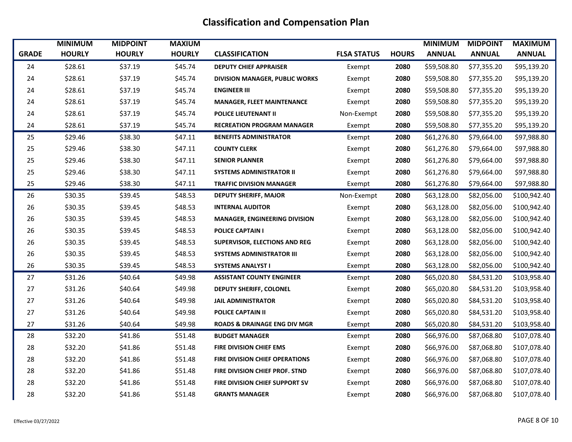|              | <b>MINIMUM</b> | <b>MIDPOINT</b> | <b>MAXIUM</b> |                                         |                    |              | <b>MINIMUM</b> | <b>MIDPOINT</b> | <b>MAXIMUM</b> |
|--------------|----------------|-----------------|---------------|-----------------------------------------|--------------------|--------------|----------------|-----------------|----------------|
| <b>GRADE</b> | <b>HOURLY</b>  | <b>HOURLY</b>   | <b>HOURLY</b> | <b>CLASSIFICATION</b>                   | <b>FLSA STATUS</b> | <b>HOURS</b> | <b>ANNUAL</b>  | <b>ANNUAL</b>   | <b>ANNUAL</b>  |
| 24           | \$28.61        | \$37.19         | \$45.74       | <b>DEPUTY CHIEF APPRAISER</b>           | Exempt             | 2080         | \$59,508.80    | \$77,355.20     | \$95,139.20    |
| 24           | \$28.61        | \$37.19         | \$45.74       | <b>DIVISION MANAGER, PUBLIC WORKS</b>   | Exempt             | 2080         | \$59,508.80    | \$77,355.20     | \$95,139.20    |
| 24           | \$28.61        | \$37.19         | \$45.74       | <b>ENGINEER III</b>                     | Exempt             | 2080         | \$59,508.80    | \$77,355.20     | \$95,139.20    |
| 24           | \$28.61        | \$37.19         | \$45.74       | <b>MANAGER, FLEET MAINTENANCE</b>       | Exempt             | 2080         | \$59,508.80    | \$77,355.20     | \$95,139.20    |
| 24           | \$28.61        | \$37.19         | \$45.74       | <b>POLICE LIEUTENANT II</b>             | Non-Exempt         | 2080         | \$59,508.80    | \$77,355.20     | \$95,139.20    |
| 24           | \$28.61        | \$37.19         | \$45.74       | <b>RECREATION PROGRAM MANAGER</b>       | Exempt             | 2080         | \$59,508.80    | \$77,355.20     | \$95,139.20    |
| 25           | \$29.46        | \$38.30         | \$47.11       | <b>BENEFITS ADMINISTRATOR</b>           | Exempt             | 2080         | \$61,276.80    | \$79,664.00     | \$97,988.80    |
| 25           | \$29.46        | \$38.30         | \$47.11       | <b>COUNTY CLERK</b>                     | Exempt             | 2080         | \$61,276.80    | \$79,664.00     | \$97,988.80    |
| 25           | \$29.46        | \$38.30         | \$47.11       | <b>SENIOR PLANNER</b>                   | Exempt             | 2080         | \$61,276.80    | \$79,664.00     | \$97,988.80    |
| 25           | \$29.46        | \$38.30         | \$47.11       | <b>SYSTEMS ADMINISTRATOR II</b>         | Exempt             | 2080         | \$61,276.80    | \$79,664.00     | \$97,988.80    |
| 25           | \$29.46        | \$38.30         | \$47.11       | <b>TRAFFIC DIVISION MANAGER</b>         | Exempt             | 2080         | \$61,276.80    | \$79,664.00     | \$97,988.80    |
| 26           | \$30.35        | \$39.45         | \$48.53       | <b>DEPUTY SHERIFF, MAJOR</b>            | Non-Exempt         | 2080         | \$63,128.00    | \$82,056.00     | \$100,942.40   |
| 26           | \$30.35        | \$39.45         | \$48.53       | <b>INTERNAL AUDITOR</b>                 | Exempt             | 2080         | \$63,128.00    | \$82,056.00     | \$100,942.40   |
| 26           | \$30.35        | \$39.45         | \$48.53       | <b>MANAGER, ENGINEERING DIVISION</b>    | Exempt             | 2080         | \$63,128.00    | \$82,056.00     | \$100,942.40   |
| 26           | \$30.35        | \$39.45         | \$48.53       | <b>POLICE CAPTAIN I</b>                 | Exempt             | 2080         | \$63,128.00    | \$82,056.00     | \$100,942.40   |
| 26           | \$30.35        | \$39.45         | \$48.53       | <b>SUPERVISOR, ELECTIONS AND REG</b>    | Exempt             | 2080         | \$63,128.00    | \$82,056.00     | \$100,942.40   |
| 26           | \$30.35        | \$39.45         | \$48.53       | <b>SYSTEMS ADMINISTRATOR III</b>        | Exempt             | 2080         | \$63,128.00    | \$82,056.00     | \$100,942.40   |
| 26           | \$30.35        | \$39.45         | \$48.53       | <b>SYSTEMS ANALYST I</b>                | Exempt             | 2080         | \$63,128.00    | \$82,056.00     | \$100,942.40   |
| 27           | \$31.26        | \$40.64         | \$49.98       | <b>ASSISTANT COUNTY ENGINEER</b>        | Exempt             | 2080         | \$65,020.80    | \$84,531.20     | \$103,958.40   |
| 27           | \$31.26        | \$40.64         | \$49.98       | <b>DEPUTY SHERIFF, COLONEL</b>          | Exempt             | 2080         | \$65,020.80    | \$84,531.20     | \$103,958.40   |
| 27           | \$31.26        | \$40.64         | \$49.98       | <b>JAIL ADMINISTRATOR</b>               | Exempt             | 2080         | \$65,020.80    | \$84,531.20     | \$103,958.40   |
| 27           | \$31.26        | \$40.64         | \$49.98       | <b>POLICE CAPTAIN II</b>                | Exempt             | 2080         | \$65,020.80    | \$84,531.20     | \$103,958.40   |
| 27           | \$31.26        | \$40.64         | \$49.98       | <b>ROADS &amp; DRAINAGE ENG DIV MGR</b> | Exempt             | 2080         | \$65,020.80    | \$84,531.20     | \$103,958.40   |
| 28           | \$32.20        | \$41.86         | \$51.48       | <b>BUDGET MANAGER</b>                   | Exempt             | 2080         | \$66,976.00    | \$87,068.80     | \$107,078.40   |
| 28           | \$32.20        | \$41.86         | \$51.48       | FIRE DIVISION CHIEF EMS                 | Exempt             | 2080         | \$66,976.00    | \$87,068.80     | \$107,078.40   |
| 28           | \$32.20        | \$41.86         | \$51.48       | <b>FIRE DIVISION CHIEF OPERATIONS</b>   | Exempt             | 2080         | \$66,976.00    | \$87,068.80     | \$107,078.40   |
| 28           | \$32.20        | \$41.86         | \$51.48       | FIRE DIVISION CHIEF PROF. STND          | Exempt             | 2080         | \$66,976.00    | \$87,068.80     | \$107,078.40   |
| 28           | \$32.20        | \$41.86         | \$51.48       | FIRE DIVISION CHIEF SUPPORT SV          | Exempt             | 2080         | \$66,976.00    | \$87,068.80     | \$107,078.40   |
| 28           | \$32.20        | \$41.86         | \$51.48       | <b>GRANTS MANAGER</b>                   | Exempt             | 2080         | \$66,976.00    | \$87,068.80     | \$107,078.40   |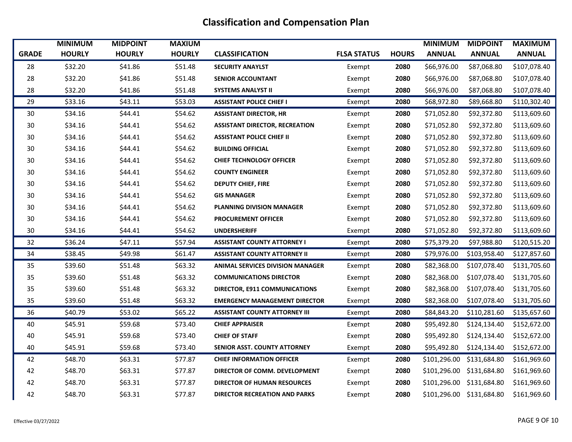|              | <b>MINIMUM</b> | <b>MIDPOINT</b> | <b>MAXIUM</b> |                                         |                    |              | <b>MINIMUM</b> | <b>MIDPOINT</b>           | <b>MAXIMUM</b> |
|--------------|----------------|-----------------|---------------|-----------------------------------------|--------------------|--------------|----------------|---------------------------|----------------|
| <b>GRADE</b> | <b>HOURLY</b>  | <b>HOURLY</b>   | <b>HOURLY</b> | <b>CLASSIFICATION</b>                   | <b>FLSA STATUS</b> | <b>HOURS</b> | <b>ANNUAL</b>  | <b>ANNUAL</b>             | <b>ANNUAL</b>  |
| 28           | \$32.20        | \$41.86         | \$51.48       | <b>SECURITY ANAYLST</b>                 | Exempt             | 2080         | \$66,976.00    | \$87,068.80               | \$107,078.40   |
| 28           | \$32.20        | \$41.86         | \$51.48       | <b>SENIOR ACCOUNTANT</b>                | Exempt             | 2080         | \$66,976.00    | \$87,068.80               | \$107,078.40   |
| 28           | \$32.20        | \$41.86         | \$51.48       | <b>SYSTEMS ANALYST II</b>               | Exempt             | 2080         | \$66,976.00    | \$87,068.80               | \$107,078.40   |
| 29           | \$33.16        | \$43.11         | \$53.03       | <b>ASSISTANT POLICE CHIEF I</b>         | Exempt             | 2080         | \$68,972.80    | \$89,668.80               | \$110,302.40   |
| 30           | \$34.16        | \$44.41         | \$54.62       | <b>ASSISTANT DIRECTOR, HR</b>           | Exempt             | 2080         | \$71,052.80    | \$92,372.80               | \$113,609.60   |
| 30           | \$34.16        | \$44.41         | \$54.62       | <b>ASSISTANT DIRECTOR, RECREATION</b>   | Exempt             | 2080         | \$71,052.80    | \$92,372.80               | \$113,609.60   |
| 30           | \$34.16        | \$44.41         | \$54.62       | <b>ASSISTANT POLICE CHIEF II</b>        | Exempt             | 2080         | \$71,052.80    | \$92,372.80               | \$113,609.60   |
| 30           | \$34.16        | \$44.41         | \$54.62       | <b>BUILDING OFFICIAL</b>                | Exempt             | 2080         | \$71,052.80    | \$92,372.80               | \$113,609.60   |
| 30           | \$34.16        | \$44.41         | \$54.62       | <b>CHIEF TECHNOLOGY OFFICER</b>         | Exempt             | 2080         | \$71,052.80    | \$92,372.80               | \$113,609.60   |
| 30           | \$34.16        | \$44.41         | \$54.62       | <b>COUNTY ENGINEER</b>                  | Exempt             | 2080         | \$71,052.80    | \$92,372.80               | \$113,609.60   |
| 30           | \$34.16        | \$44.41         | \$54.62       | <b>DEPUTY CHIEF, FIRE</b>               | Exempt             | 2080         | \$71,052.80    | \$92,372.80               | \$113,609.60   |
| 30           | \$34.16        | \$44.41         | \$54.62       | <b>GIS MANAGER</b>                      | Exempt             | 2080         | \$71,052.80    | \$92,372.80               | \$113,609.60   |
| 30           | \$34.16        | \$44.41         | \$54.62       | <b>PLANNING DIVISION MANAGER</b>        | Exempt             | 2080         | \$71,052.80    | \$92,372.80               | \$113,609.60   |
| 30           | \$34.16        | \$44.41         | \$54.62       | <b>PROCUREMENT OFFICER</b>              | Exempt             | 2080         | \$71,052.80    | \$92,372.80               | \$113,609.60   |
| 30           | \$34.16        | \$44.41         | \$54.62       | <b>UNDERSHERIFF</b>                     | Exempt             | 2080         | \$71,052.80    | \$92,372.80               | \$113,609.60   |
| 32           | \$36.24        | \$47.11         | \$57.94       | <b>ASSISTANT COUNTY ATTORNEY I</b>      | Exempt             | 2080         | \$75,379.20    | \$97,988.80               | \$120,515.20   |
| 34           | \$38.45        | \$49.98         | \$61.47       | <b>ASSISTANT COUNTY ATTORNEY II</b>     | Exempt             | 2080         | \$79,976.00    | \$103,958.40              | \$127,857.60   |
| 35           | \$39.60        | \$51.48         | \$63.32       | <b>ANIMAL SERVICES DIVISION MANAGER</b> | Exempt             | 2080         | \$82,368.00    | \$107,078.40              | \$131,705.60   |
| 35           | \$39.60        | \$51.48         | \$63.32       | <b>COMMUNICATIONS DIRECTOR</b>          | Exempt             | 2080         | \$82,368.00    | \$107,078.40              | \$131,705.60   |
| 35           | \$39.60        | \$51.48         | \$63.32       | DIRECTOR, E911 COMMUNICATIONS           | Exempt             | 2080         | \$82,368.00    | \$107,078.40              | \$131,705.60   |
| 35           | \$39.60        | \$51.48         | \$63.32       | <b>EMERGENCY MANAGEMENT DIRECTOR</b>    | Exempt             | 2080         | \$82,368.00    | \$107,078.40              | \$131,705.60   |
| 36           | \$40.79        | \$53.02         | \$65.22       | <b>ASSISTANT COUNTY ATTORNEY III</b>    | Exempt             | 2080         | \$84,843.20    | \$110,281.60              | \$135,657.60   |
| 40           | \$45.91        | \$59.68         | \$73.40       | <b>CHIEF APPRAISER</b>                  | Exempt             | 2080         | \$95,492.80    | \$124,134.40              | \$152,672.00   |
| 40           | \$45.91        | \$59.68         | \$73.40       | <b>CHIEF OF STAFF</b>                   | Exempt             | 2080         | \$95,492.80    | \$124,134.40              | \$152,672.00   |
| 40           | \$45.91        | \$59.68         | \$73.40       | <b>SENIOR ASST. COUNTY ATTORNEY</b>     | Exempt             | 2080         | \$95,492.80    | \$124,134.40              | \$152,672.00   |
| 42           | \$48.70        | \$63.31         | \$77.87       | <b>CHIEF INFORMATION OFFICER</b>        | Exempt             | 2080         | \$101,296.00   | \$131,684.80              | \$161,969.60   |
| 42           | \$48.70        | \$63.31         | \$77.87       | DIRECTOR OF COMM. DEVELOPMENT           | Exempt             | 2080         |                | \$101,296.00 \$131,684.80 | \$161,969.60   |
| 42           | \$48.70        | \$63.31         | \$77.87       | <b>DIRECTOR OF HUMAN RESOURCES</b>      | Exempt             | 2080         |                | \$101,296.00 \$131,684.80 | \$161,969.60   |
| 42           | \$48.70        | \$63.31         | \$77.87       | <b>DIRECTOR RECREATION AND PARKS</b>    | Exempt             | 2080         |                | \$101,296.00 \$131,684.80 | \$161,969.60   |